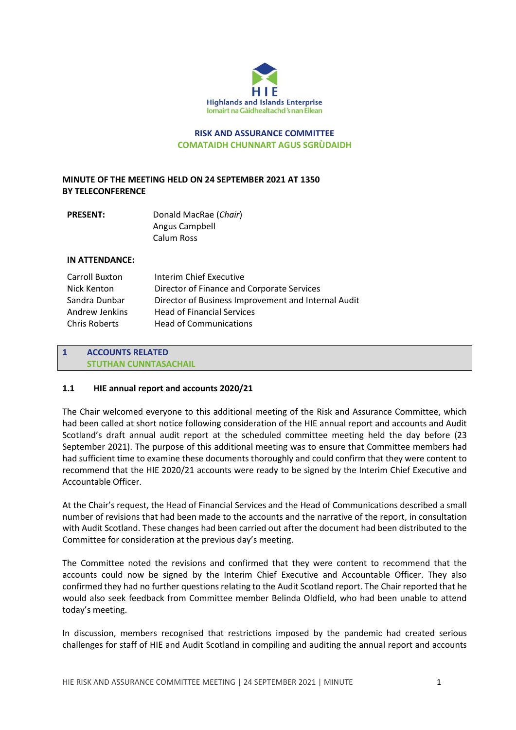

**RISK AND ASSURANCE COMMITTEE COMATAIDH CHUNNART AGUS SGRÙDAIDH**

# **MINUTE OF THE MEETING HELD ON 24 SEPTEMBER 2021 AT 1350 BY TELECONFERENCE**

| <b>PRESENT:</b> | Donald MacRae (Chair) |
|-----------------|-----------------------|
|                 | Angus Campbell        |
|                 | Calum Ross            |

### **IN ATTENDANCE:**

| Carroll Buxton       | Interim Chief Executive                             |
|----------------------|-----------------------------------------------------|
| Nick Kenton          | Director of Finance and Corporate Services          |
| Sandra Dunbar        | Director of Business Improvement and Internal Audit |
| Andrew Jenkins       | <b>Head of Financial Services</b>                   |
| <b>Chris Roberts</b> | <b>Head of Communications</b>                       |

## **1 ACCOUNTS RELATED STUTHAN CUNNTASACHAIL**

### **1.1 HIE annual report and accounts 2020/21**

The Chair welcomed everyone to this additional meeting of the Risk and Assurance Committee, which had been called at short notice following consideration of the HIE annual report and accounts and Audit Scotland's draft annual audit report at the scheduled committee meeting held the day before (23 September 2021). The purpose of this additional meeting was to ensure that Committee members had had sufficient time to examine these documents thoroughly and could confirm that they were content to recommend that the HIE 2020/21 accounts were ready to be signed by the Interim Chief Executive and Accountable Officer.

At the Chair's request, the Head of Financial Services and the Head of Communications described a small number of revisions that had been made to the accounts and the narrative of the report, in consultation with Audit Scotland. These changes had been carried out after the document had been distributed to the Committee for consideration at the previous day's meeting.

The Committee noted the revisions and confirmed that they were content to recommend that the accounts could now be signed by the Interim Chief Executive and Accountable Officer. They also confirmed they had no further questions relating to the Audit Scotland report. The Chair reported that he would also seek feedback from Committee member Belinda Oldfield, who had been unable to attend today's meeting.

In discussion, members recognised that restrictions imposed by the pandemic had created serious challenges for staff of HIE and Audit Scotland in compiling and auditing the annual report and accounts